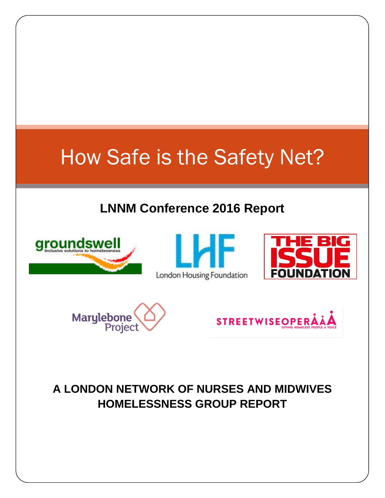# How Safe is the Safety Net?

# **LNNM Conference 2016 Report**











# **A LONDON NETWORK OF NURSES AND MIDWIVES HOMELESSNESS GROUP REPORT**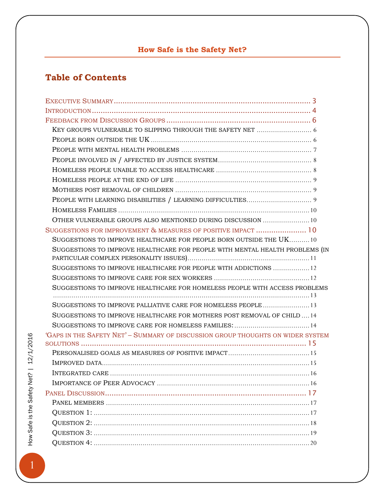## **How Safe is the Safety Net?**

## **Table of Contents**

| OTHER VULNERABLE GROUPS ALSO MENTIONED DURING DISCUSSION  10                    |
|---------------------------------------------------------------------------------|
| SUGGESTIONS FOR IMPROVEMENT & MEASURES OF POSITIVE IMPACT  10                   |
| SUGGESTIONS TO IMPROVE HEALTHCARE FOR PEOPLE BORN OUTSIDE THE UK10              |
| SUGGESTIONS TO IMPROVE HEALTHCARE FOR PEOPLE WITH MENTAL HEALTH PROBLEMS (IN    |
|                                                                                 |
| SUGGESTIONS TO IMPROVE HEALTHCARE FOR PEOPLE WITH ADDICTIONS  12                |
|                                                                                 |
| SUGGESTIONS TO IMPROVE HEALTHCARE FOR HOMELESS PEOPLE WITH ACCESS PROBLEMS      |
|                                                                                 |
|                                                                                 |
| SUGGESTIONS TO IMPROVE HEALTHCARE FOR MOTHERS POST REMOVAL OF CHILD14           |
|                                                                                 |
| 'GAPS IN THE SAFETY NET' - SUMMARY OF DISCUSSION GROUP THOUGHTS ON WIDER SYSTEM |
|                                                                                 |
|                                                                                 |
|                                                                                 |
|                                                                                 |
|                                                                                 |
|                                                                                 |
|                                                                                 |
|                                                                                 |
|                                                                                 |
|                                                                                 |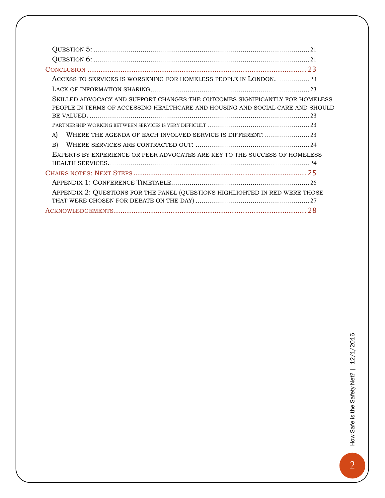| ACCESS TO SERVICES IS WORSENING FOR HOMELESS PEOPLE IN LONDON23                                                                                                |  |
|----------------------------------------------------------------------------------------------------------------------------------------------------------------|--|
|                                                                                                                                                                |  |
| SKILLED ADVOCACY AND SUPPORT CHANGES THE OUTCOMES SIGNIFICANTLY FOR HOMELESS<br>PEOPLE IN TERMS OF ACCESSING HEALTHCARE AND HOUSING AND SOCIAL CARE AND SHOULD |  |
|                                                                                                                                                                |  |
| A)                                                                                                                                                             |  |
| B)                                                                                                                                                             |  |
| EXPERTS BY EXPERIENCE OR PEER ADVOCATES ARE KEY TO THE SUCCESS OF HOMELESS                                                                                     |  |
|                                                                                                                                                                |  |
|                                                                                                                                                                |  |
|                                                                                                                                                                |  |
| APPENDIX 2: QUESTIONS FOR THE PANEL (QUESTIONS HIGHLIGHTED IN RED WERE THOSE                                                                                   |  |
|                                                                                                                                                                |  |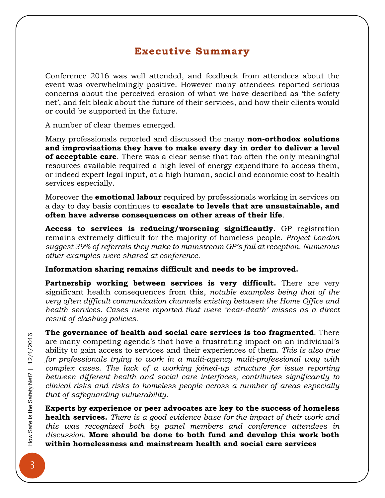## **Executive Summary**

<span id="page-3-0"></span>Conference 2016 was well attended, and feedback from attendees about the event was overwhelmingly positive. However many attendees reported serious concerns about the perceived erosion of what we have described as 'the safety net', and felt bleak about the future of their services, and how their clients would or could be supported in the future.

A number of clear themes emerged.

Many professionals reported and discussed the many **non-orthodox solutions and improvisations they have to make every day in order to deliver a level of acceptable care**. There was a clear sense that too often the only meaningful resources available required a high level of energy expenditure to access them, or indeed expert legal input, at a high human, social and economic cost to health services especially.

Moreover the **emotional labour** required by professionals working in services on a day to day basis continues to **escalate to levels that are unsustainable, and often have adverse consequences on other areas of their life**.

**Access to services is reducing/worsening significantly.** GP registration remains extremely difficult for the majority of homeless people. *Project London suggest 39% of referrals they make to mainstream GP's fail at reception. Numerous other examples were shared at conference.*

#### **Information sharing remains difficult and needs to be improved.**

**Partnership working between services is very difficult.** There are very significant health consequences from this, *notable examples being that of the very often difficult communication channels existing between the Home Office and health services. Cases were reported that were 'near-death' misses as a direct result of clashing policies.* 

**The governance of health and social care services is too fragmented**. There are many competing agenda's that have a frustrating impact on an individual's ability to gain access to services and their experiences of them. *This is also true for professionals trying to work in a multi-agency multi-professional way with complex cases. The lack of a working joined-up structure for issue reporting between different health and social care interfaces, contributes significantly to clinical risks and risks to homeless people across a number of areas especially that of safeguarding vulnerability.* 

**Experts by experience or peer advocates are key to the success of homeless health services.** *There is a good evidence base for the impact of their work and this was recognized both by panel members and conference attendees in discussion.* **More should be done to both fund and develop this work both within homelessness and mainstream health and social care services**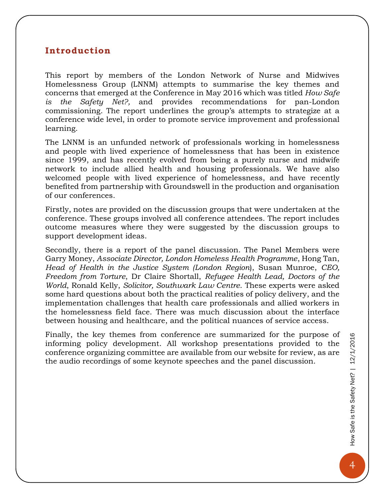#### <span id="page-4-0"></span>**Introduction**

This report by members of the London Network of Nurse and Midwives Homelessness Group (LNNM) attempts to summarise the key themes and concerns that emerged at the Conference in May 2016 which was titled *How Safe is the Safety Net?,* and provides recommendations for pan-London commissioning. The report underlines the group's attempts to strategize at a conference wide level, in order to promote service improvement and professional learning.

The LNNM is an unfunded network of professionals working in homelessness and people with lived experience of homelessness that has been in existence since 1999, and has recently evolved from being a purely nurse and midwife network to include allied health and housing professionals. We have also welcomed people with lived experience of homelessness, and have recently benefited from partnership with Groundswell in the production and organisation of our conferences.

Firstly, notes are provided on the discussion groups that were undertaken at the conference. These groups involved all conference attendees. The report includes outcome measures where they were suggested by the discussion groups to support development ideas.

Secondly, there is a report of the panel discussion. The Panel Members were Garry Money, *Associate Director, London Homeless Health Programme*, Hong Tan, *Head of Health in the Justice System (London Region*), Susan Munroe, *CEO, Freedom from Torture*, Dr Claire Shortall, *Refugee Health Lead, Doctors of the World*, Ronald Kelly, *Solicitor, Southwark Law Centre*. These experts were asked some hard questions about both the practical realities of policy delivery, and the implementation challenges that health care professionals and allied workers in the homelessness field face. There was much discussion about the interface between housing and healthcare, and the political nuances of service access.

Finally, the key themes from conference are summarized for the purpose of informing policy development. All workshop presentations provided to the conference organizing committee are available from our website for review, as are the audio recordings of some keynote speeches and the panel discussion.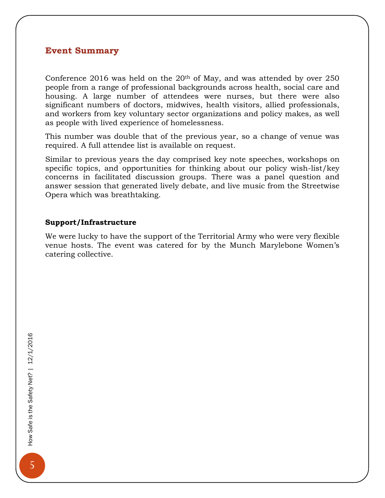#### **Event Summary**

Conference 2016 was held on the  $20<sup>th</sup>$  of May, and was attended by over 250 people from a range of professional backgrounds across health, social care and housing. A large number of attendees were nurses, but there were also significant numbers of doctors, midwives, health visitors, allied professionals, and workers from key voluntary sector organizations and policy makes, as well as people with lived experience of homelessness.

This number was double that of the previous year, so a change of venue was required. A full attendee list is available on request.

Similar to previous years the day comprised key note speeches, workshops on specific topics, and opportunities for thinking about our policy wish-list/key concerns in facilitated discussion groups. There was a panel question and answer session that generated lively debate, and live music from the Streetwise Opera which was breathtaking.

#### **Support/Infrastructure**

We were lucky to have the support of the Territorial Army who were very flexible venue hosts. The event was catered for by the Munch Marylebone Women's catering collective.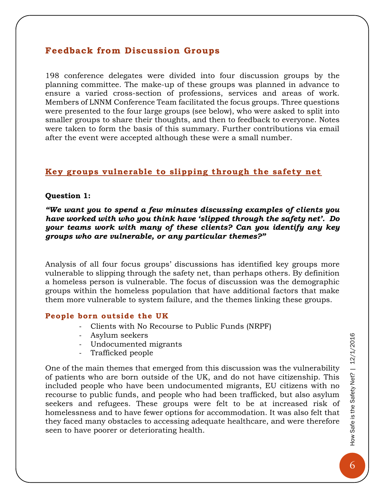#### <span id="page-6-0"></span>**Feedback from Discussion Groups**

198 conference delegates were divided into four discussion groups by the planning committee. The make-up of these groups was planned in advance to ensure a varied cross-section of professions, services and areas of work. Members of LNNM Conference Team facilitated the focus groups. Three questions were presented to the four large groups (see below), who were asked to split into smaller groups to share their thoughts, and then to feedback to everyone. Notes were taken to form the basis of this summary. Further contributions via email after the event were accepted although these were a small number.

#### <span id="page-6-1"></span>**Key groups vulnerable to slipping through the safety net**

#### **Question 1:**

*"We want you to spend a few minutes discussing examples of clients you have worked with who you think have 'slipped through the safety net'. Do your teams work with many of these clients? Can you identify any key groups who are vulnerable, or any particular themes?"*

Analysis of all four focus groups' discussions has identified key groups more vulnerable to slipping through the safety net, than perhaps others. By definition a homeless person is vulnerable. The focus of discussion was the demographic groups within the homeless population that have additional factors that make them more vulnerable to system failure, and the themes linking these groups.

#### <span id="page-6-2"></span>People born outside the UK

- Clients with No Recourse to Public Funds (NRPF)
- Asylum seekers
- Undocumented migrants
- Trafficked people

One of the main themes that emerged from this discussion was the vulnerability of patients who are born outside of the UK, and do not have citizenship. This included people who have been undocumented migrants, EU citizens with no recourse to public funds, and people who had been trafficked, but also asylum seekers and refugees. These groups were felt to be at increased risk of homelessness and to have fewer options for accommodation. It was also felt that they faced many obstacles to accessing adequate healthcare, and were therefore seen to have poorer or deteriorating health.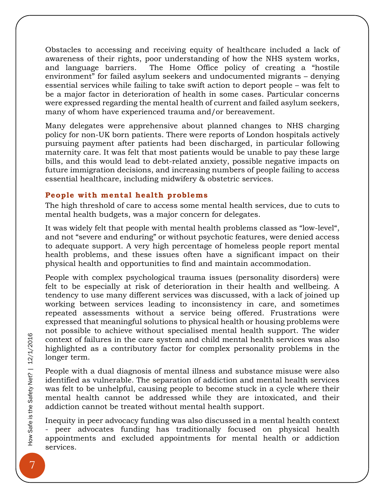Obstacles to accessing and receiving equity of healthcare included a lack of awareness of their rights, poor understanding of how the NHS system works, and language barriers. The Home Office policy of creating a "hostile environment" for failed asylum seekers and undocumented migrants – denying essential services while failing to take swift action to deport people – was felt to be a major factor in deterioration of health in some cases. Particular concerns were expressed regarding the mental health of current and failed asylum seekers, many of whom have experienced trauma and/or bereavement.

Many delegates were apprehensive about planned changes to NHS charging policy for non-UK born patients. There were reports of London hospitals actively pursuing payment after patients had been discharged, in particular following maternity care. It was felt that most patients would be unable to pay these large bills, and this would lead to debt-related anxiety, possible negative impacts on future immigration decisions, and increasing numbers of people failing to access essential healthcare, including midwifery & obstetric services.

#### <span id="page-7-0"></span>People with mental health problems

The high threshold of care to access some mental health services, due to cuts to mental health budgets, was a major concern for delegates.

It was widely felt that people with mental health problems classed as "low-level", and not "severe and enduring" or without psychotic features, were denied access to adequate support. A very high percentage of homeless people report mental health problems, and these issues often have a significant impact on their physical health and opportunities to find and maintain accommodation.

People with complex psychological trauma issues (personality disorders) were felt to be especially at risk of deterioration in their health and wellbeing. A tendency to use many different services was discussed, with a lack of joined up working between services leading to inconsistency in care, and sometimes repeated assessments without a service being offered. Frustrations were expressed that meaningful solutions to physical health or housing problems were not possible to achieve without specialised mental health support. The wider context of failures in the care system and child mental health services was also highlighted as a contributory factor for complex personality problems in the longer term.

People with a dual diagnosis of mental illness and substance misuse were also identified as vulnerable. The separation of addiction and mental health services was felt to be unhelpful, causing people to become stuck in a cycle where their mental health cannot be addressed while they are intoxicated, and their addiction cannot be treated without mental health support.

Inequity in peer advocacy funding was also discussed in a mental health context - peer advocates funding has traditionally focused on physical health appointments and excluded appointments for mental health or addiction services.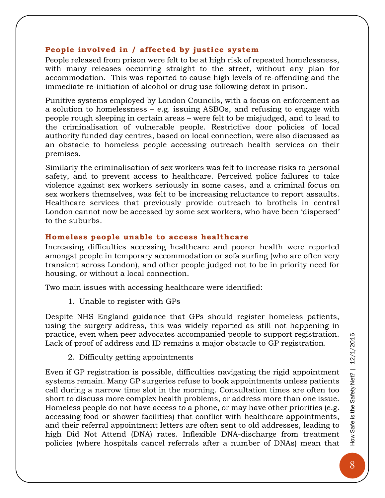#### <span id="page-8-0"></span>**Peop le involved in / affected by justice system**

People released from prison were felt to be at high risk of repeated homelessness, with many releases occurring straight to the street, without any plan for accommodation. This was reported to cause high levels of re-offending and the immediate re-initiation of alcohol or drug use following detox in prison.

Punitive systems employed by London Councils, with a focus on enforcement as a solution to homelessness – e.g. issuing ASBOs, and refusing to engage with people rough sleeping in certain areas – were felt to be misjudged, and to lead to the criminalisation of vulnerable people. Restrictive door policies of local authority funded day centres, based on local connection, were also discussed as an obstacle to homeless people accessing outreach health services on their premises.

Similarly the criminalisation of sex workers was felt to increase risks to personal safety, and to prevent access to healthcare. Perceived police failures to take violence against sex workers seriously in some cases, and a criminal focus on sex workers themselves, was felt to be increasing reluctance to report assaults. Healthcare services that previously provide outreach to brothels in central London cannot now be accessed by some sex workers, who have been 'dispersed' to the suburbs.

#### <span id="page-8-1"></span>**Home less peop le unable to access healthcare**

Increasing difficulties accessing healthcare and poorer health were reported amongst people in temporary accommodation or sofa surfing (who are often very transient across London), and other people judged not to be in priority need for housing, or without a local connection.

Two main issues with accessing healthcare were identified:

1. Unable to register with GPs

Despite NHS England guidance that GPs should register homeless patients, using the surgery address, this was widely reported as still not happening in practice, even when peer advocates accompanied people to support registration. Lack of proof of address and ID remains a major obstacle to GP registration.

2. Difficulty getting appointments

Even if GP registration is possible, difficulties navigating the rigid appointment systems remain. Many GP surgeries refuse to book appointments unless patients call during a narrow time slot in the morning. Consultation times are often too short to discuss more complex health problems, or address more than one issue. Homeless people do not have access to a phone, or may have other priorities (e.g. accessing food or shower facilities) that conflict with healthcare appointments, and their referral appointment letters are often sent to old addresses, leading to high Did Not Attend (DNA) rates. Inflexible DNA-discharge from treatment policies (where hospitals cancel referrals after a number of DNAs) mean that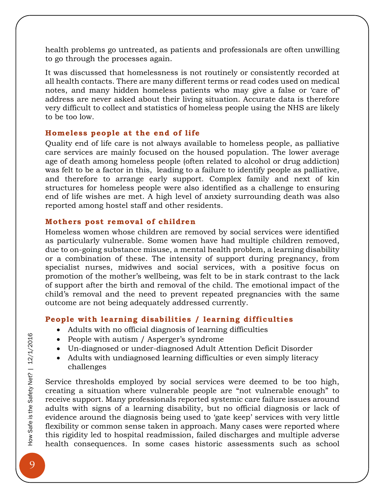health problems go untreated, as patients and professionals are often unwilling to go through the processes again.

It was discussed that homelessness is not routinely or consistently recorded at all health contacts. There are many different terms or read codes used on medical notes, and many hidden homeless patients who may give a false or 'care of' address are never asked about their living situation. Accurate data is therefore very difficult to collect and statistics of homeless people using the NHS are likely to be too low.

#### <span id="page-9-0"></span>**Home less peop le at the end of life**

Quality end of life care is not always available to homeless people, as palliative care services are mainly focused on the housed population. The lower average age of death among homeless people (often related to alcohol or drug addiction) was felt to be a factor in this, leading to a failure to identify people as palliative, and therefore to arrange early support. Complex family and next of kin structures for homeless people were also identified as a challenge to ensuring end of life wishes are met. A high level of anxiety surrounding death was also reported among hostel staff and other residents.

#### <span id="page-9-1"></span>**Mothers post removal of children**

Homeless women whose children are removed by social services were identified as particularly vulnerable. Some women have had multiple children removed, due to on-going substance misuse, a mental health problem, a learning disability or a combination of these. The intensity of support during pregnancy, from specialist nurses, midwives and social services, with a positive focus on promotion of the mother's wellbeing, was felt to be in stark contrast to the lack of support after the birth and removal of the child. The emotional impact of the child's removal and the need to prevent repeated pregnancies with the same outcome are not being adequately addressed currently.

#### <span id="page-9-2"></span>**Peop le with learning disabilities / learning difficulties**

- Adults with no official diagnosis of learning difficulties
- People with autism / Asperger's syndrome
- Un-diagnosed or under-diagnosed Adult Attention Deficit Disorder
- Adults with undiagnosed learning difficulties or even simply literacy challenges

Service thresholds employed by social services were deemed to be too high, creating a situation where vulnerable people are "not vulnerable enough" to receive support. Many professionals reported systemic care failure issues around adults with signs of a learning disability, but no official diagnosis or lack of evidence around the diagnosis being used to 'gate keep' services with very little flexibility or common sense taken in approach. Many cases were reported where this rigidity led to hospital readmission, failed discharges and multiple adverse health consequences. In some cases historic assessments such as school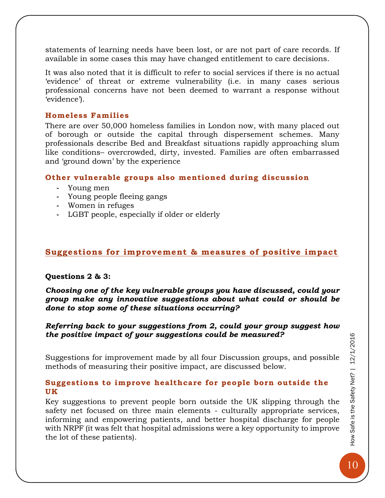statements of learning needs have been lost, or are not part of care records. If available in some cases this may have changed entitlement to care decisions.

It was also noted that it is difficult to refer to social services if there is no actual 'evidence' of threat or extreme vulnerability (i.e. in many cases serious professional concerns have not been deemed to warrant a response without 'evidence').

#### <span id="page-10-0"></span>**Home less Fami lies**

There are over 50,000 homeless families in London now, with many placed out of borough or outside the capital through dispersement schemes. Many professionals describe Bed and Breakfast situations rapidly approaching slum like conditions– overcrowded, dirty, invested. Families are often embarrassed and 'ground down' by the experience

#### <span id="page-10-1"></span>**Other vulnerable groups also mentioned during discussion**

- **-** Young men
- **-** Young people fleeing gangs
- **-** Women in refuges
- **-** LGBT people, especially if older or elderly

#### <span id="page-10-2"></span>**Suggestions for improvement & measures of positive impact**

#### **Questions 2 & 3:**

*Choosing one of the key vulnerable groups you have discussed, could your group make any innovative suggestions about what could or should be done to stop some of these situations occurring?* 

#### *Referring back to your suggestions from 2, could your group suggest how the positive impact of your suggestions could be measured?*

Suggestions for improvement made by all four Discussion groups, and possible methods of measuring their positive impact, are discussed below.

#### <span id="page-10-3"></span>Suggestions to improve healthcare for people born outside the **UK**

Key suggestions to prevent people born outside the UK slipping through the safety net focused on three main elements - culturally appropriate services, informing and empowering patients, and better hospital discharge for people with NRPF (it was felt that hospital admissions were a key opportunity to improve the lot of these patients).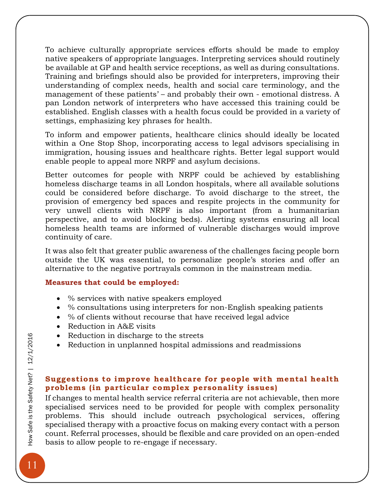To achieve culturally appropriate services efforts should be made to employ native speakers of appropriate languages. Interpreting services should routinely be available at GP and health service receptions, as well as during consultations. Training and briefings should also be provided for interpreters, improving their understanding of complex needs, health and social care terminology, and the management of these patients' – and probably their own - emotional distress. A pan London network of interpreters who have accessed this training could be established. English classes with a health focus could be provided in a variety of settings, emphasizing key phrases for health.

To inform and empower patients, healthcare clinics should ideally be located within a One Stop Shop, incorporating access to legal advisors specialising in immigration, housing issues and healthcare rights. Better legal support would enable people to appeal more NRPF and asylum decisions.

Better outcomes for people with NRPF could be achieved by establishing homeless discharge teams in all London hospitals, where all available solutions could be considered before discharge. To avoid discharge to the street, the provision of emergency bed spaces and respite projects in the community for very unwell clients with NRPF is also important (from a humanitarian perspective, and to avoid blocking beds). Alerting systems ensuring all local homeless health teams are informed of vulnerable discharges would improve continuity of care.

It was also felt that greater public awareness of the challenges facing people born outside the UK was essential, to personalize people's stories and offer an alternative to the negative portrayals common in the mainstream media.

#### **Measures that could be employed:**

- % services with native speakers employed
- % consultations using interpreters for non-English speaking patients
- % of clients without recourse that have received legal advice
- Reduction in A&E visits
- Reduction in discharge to the streets
- Reduction in unplanned hospital admissions and readmissions

#### <span id="page-11-0"></span>**Suggestions to improve healthcare for people with mental health** problems (in particular complex personality issues)

If changes to mental health service referral criteria are not achievable, then more specialised services need to be provided for people with complex personality problems. This should include outreach psychological services, offering specialised therapy with a proactive focus on making every contact with a person count. Referral processes, should be flexible and care provided on an open-ended basis to allow people to re-engage if necessary.

11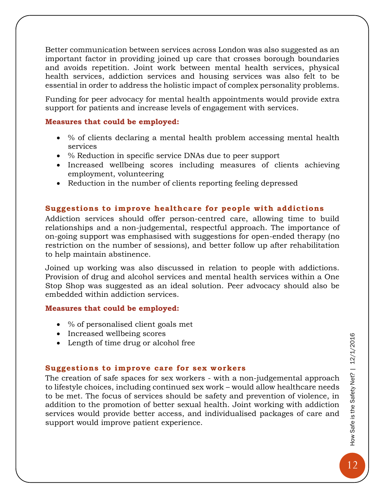Better communication between services across London was also suggested as an important factor in providing joined up care that crosses borough boundaries and avoids repetition. Joint work between mental health services, physical health services, addiction services and housing services was also felt to be essential in order to address the holistic impact of complex personality problems.

Funding for peer advocacy for mental health appointments would provide extra support for patients and increase levels of engagement with services.

#### **Measures that could be employed:**

- % of clients declaring a mental health problem accessing mental health services
- % Reduction in specific service DNAs due to peer support
- Increased wellbeing scores including measures of clients achieving employment, volunteering
- Reduction in the number of clients reporting feeling depressed

#### <span id="page-12-0"></span>**Suggestions to improve healthcare for people with addictions**

Addiction services should offer person-centred care, allowing time to build relationships and a non-judgemental, respectful approach. The importance of on-going support was emphasised with suggestions for open-ended therapy (no restriction on the number of sessions), and better follow up after rehabilitation to help maintain abstinence.

Joined up working was also discussed in relation to people with addictions. Provision of drug and alcohol services and mental health services within a One Stop Shop was suggested as an ideal solution. Peer advocacy should also be embedded within addiction services.

#### **Measures that could be employed:**

- % of personalised client goals met
- Increased wellbeing scores
- Length of time drug or alcohol free

#### <span id="page-12-1"></span>**Suggestions to improve care for sex workers**

The creation of safe spaces for sex workers - with a non-judgemental approach to lifestyle choices, including continued sex work – would allow healthcare needs to be met. The focus of services should be safety and prevention of violence, in addition to the promotion of better sexual health. Joint working with addiction services would provide better access, and individualised packages of care and support would improve patient experience.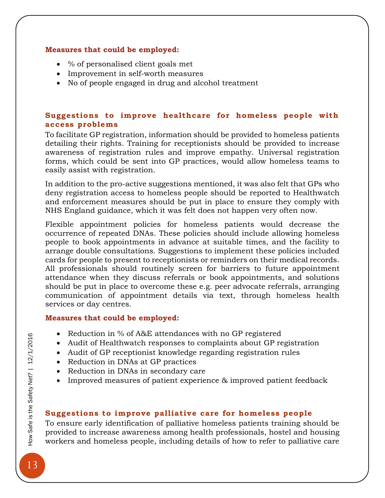#### **Measures that could be employed:**

- % of personalised client goals met
- Improvement in self-worth measures
- No of people engaged in drug and alcohol treatment

#### <span id="page-13-0"></span>Suggestions to improve healthcare for homeless people with **access problems**

To facilitate GP registration, information should be provided to homeless patients detailing their rights. Training for receptionists should be provided to increase awareness of registration rules and improve empathy. Universal registration forms, which could be sent into GP practices, would allow homeless teams to easily assist with registration.

In addition to the pro-active suggestions mentioned, it was also felt that GPs who deny registration access to homeless people should be reported to Healthwatch and enforcement measures should be put in place to ensure they comply with NHS England guidance, which it was felt does not happen very often now.

Flexible appointment policies for homeless patients would decrease the occurrence of repeated DNAs. These policies should include allowing homeless people to book appointments in advance at suitable times, and the facility to arrange double consultations. Suggestions to implement these policies included cards for people to present to receptionists or reminders on their medical records. All professionals should routinely screen for barriers to future appointment attendance when they discuss referrals or book appointments, and solutions should be put in place to overcome these e.g. peer advocate referrals, arranging communication of appointment details via text, through homeless health services or day centres.

#### **Measures that could be employed:**

- Reduction in % of A&E attendances with no GP registered
- Audit of Healthwatch responses to complaints about GP registration
- Audit of GP receptionist knowledge regarding registration rules
- Reduction in DNAs at GP practices
- Reduction in DNAs in secondary care
- Improved measures of patient experience & improved patient feedback

#### <span id="page-13-1"></span>Suggestions to improve palliative care for homeless people

To ensure early identification of palliative homeless patients training should be provided to increase awareness among health professionals, hostel and housing workers and homeless people, including details of how to refer to palliative care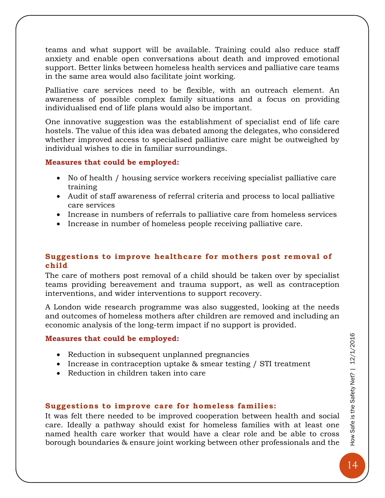teams and what support will be available. Training could also reduce staff anxiety and enable open conversations about death and improved emotional support. Better links between homeless health services and palliative care teams in the same area would also facilitate joint working.

Palliative care services need to be flexible, with an outreach element. An awareness of possible complex family situations and a focus on providing individualised end of life plans would also be important.

One innovative suggestion was the establishment of specialist end of life care hostels. The value of this idea was debated among the delegates, who considered whether improved access to specialised palliative care might be outweighed by individual wishes to die in familiar surroundings.

#### **Measures that could be employed:**

- No of health / housing service workers receiving specialist palliative care training
- Audit of staff awareness of referral criteria and process to local palliative care services
- Increase in numbers of referrals to palliative care from homeless services
- Increase in number of homeless people receiving palliative care.

#### <span id="page-14-0"></span>Suggestions to improve healthcare for mothers post removal of **child**

The care of mothers post removal of a child should be taken over by specialist teams providing bereavement and trauma support, as well as contraception interventions, and wider interventions to support recovery.

A London wide research programme was also suggested, looking at the needs and outcomes of homeless mothers after children are removed and including an economic analysis of the long-term impact if no support is provided.

#### **Measures that could be employed:**

- Reduction in subsequent unplanned pregnancies
- Increase in contraception uptake & smear testing / STI treatment
- Reduction in children taken into care

#### <span id="page-14-1"></span>**Suggestions to improve care for homeless families:**

It was felt there needed to be improved cooperation between health and social care. Ideally a pathway should exist for homeless families with at least one named health care worker that would have a clear role and be able to cross borough boundaries & ensure joint working between other professionals and the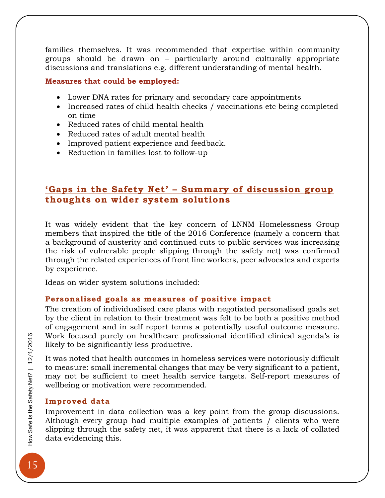families themselves. It was recommended that expertise within community groups should be drawn on – particularly around culturally appropriate discussions and translations e.g. different understanding of mental health.

#### **Measures that could be employed:**

- Lower DNA rates for primary and secondary care appointments
- Increased rates of child health checks / vaccinations etc being completed on time
- Reduced rates of child mental health
- Reduced rates of adult mental health
- Improved patient experience and feedback.
- Reduction in families lost to follow-up

#### <span id="page-15-0"></span>**'Gaps in the Safety Net' – Summary of discussion group thoughts on wider system solutions**

It was widely evident that the key concern of LNNM Homelessness Group members that inspired the title of the 2016 Conference (namely a concern that a background of austerity and continued cuts to public services was increasing the risk of vulnerable people slipping through the safety net) was confirmed through the related experiences of front line workers, peer advocates and experts by experience.

Ideas on wider system solutions included:

#### <span id="page-15-1"></span>Personalised goals as measures of positive impact

The creation of individualised care plans with negotiated personalised goals set by the client in relation to their treatment was felt to be both a positive method of engagement and in self report terms a potentially useful outcome measure. Work focused purely on healthcare professional identified clinical agenda's is likely to be significantly less productive.

It was noted that health outcomes in homeless services were notoriously difficult to measure: small incremental changes that may be very significant to a patient, may not be sufficient to meet health service targets. Self-report measures of wellbeing or motivation were recommended.

#### <span id="page-15-2"></span>**Improved data**

Improvement in data collection was a key point from the group discussions. Although every group had multiple examples of patients / clients who were slipping through the safety net, it was apparent that there is a lack of collated data evidencing this.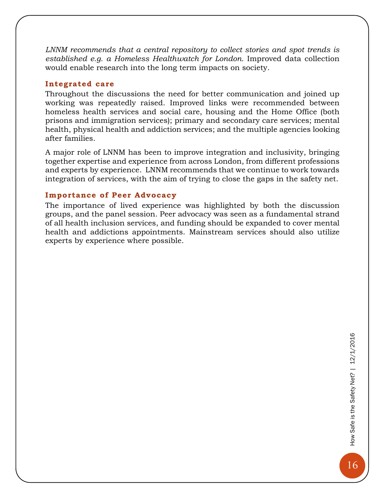*LNNM recommends that a central repository to collect stories and spot trends is established e.g. a Homeless Healthwatch for London.* Improved data collection would enable research into the long term impacts on society.

#### <span id="page-16-0"></span>**Integrated care**

Throughout the discussions the need for better communication and joined up working was repeatedly raised. Improved links were recommended between homeless health services and social care, housing and the Home Office (both prisons and immigration services); primary and secondary care services; mental health, physical health and addiction services; and the multiple agencies looking after families.

A major role of LNNM has been to improve integration and inclusivity, bringing together expertise and experience from across London, from different professions and experts by experience. LNNM recommends that we continue to work towards integration of services, with the aim of trying to close the gaps in the safety net.

#### <span id="page-16-1"></span>**Importance of Peer Advocacy**

The importance of lived experience was highlighted by both the discussion groups, and the panel session. Peer advocacy was seen as a fundamental strand of all health inclusion services, and funding should be expanded to cover mental health and addictions appointments. Mainstream services should also utilize experts by experience where possible.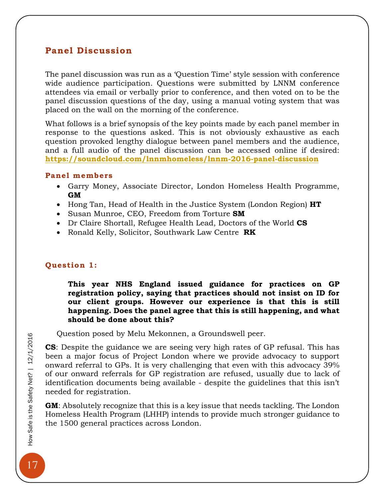#### <span id="page-17-0"></span>**Panel Discussion**

The panel discussion was run as a 'Question Time' style session with conference wide audience participation. Questions were submitted by LNNM conference attendees via email or verbally prior to conference, and then voted on to be the panel discussion questions of the day, using a manual voting system that was placed on the wall on the morning of the conference.

What follows is a brief synopsis of the key points made by each panel member in response to the questions asked. This is not obviously exhaustive as each question provoked lengthy dialogue between panel members and the audience, and a full audio of the panel discussion can be accessed online if desired: **<https://soundcloud.com/lnnmhomeless/lnnm-2016-panel-discussion>**

#### <span id="page-17-1"></span>**Panel members**

- Garry Money, Associate Director, London Homeless Health Programme, **GM**
- Hong Tan, Head of Health in the Justice System (London Region) **HT**
- Susan Munroe, CEO, Freedom from Torture **SM**
- Dr Claire Shortall, Refugee Health Lead, Doctors of the World **CS**
- Ronald Kelly, Solicitor, Southwark Law Centre **RK**

#### <span id="page-17-2"></span>**Question 1:**

**This year NHS England issued guidance for practices on GP registration policy, saying that practices should not insist on ID for our client groups. However our experience is that this is still happening. Does the panel agree that this is still happening, and what should be done about this?**

Question posed by Melu Mekonnen, a Groundswell peer.

**CS**: Despite the guidance we are seeing very high rates of GP refusal. This has been a major focus of Project London where we provide advocacy to support onward referral to GPs. It is very challenging that even with this advocacy 39% of our onward referrals for GP registration are refused, usually due to lack of identification documents being available - despite the guidelines that this isn't needed for registration.

**GM**: Absolutely recognize that this is a key issue that needs tackling. The London Homeless Health Program (LHHP) intends to provide much stronger guidance to the 1500 general practices across London.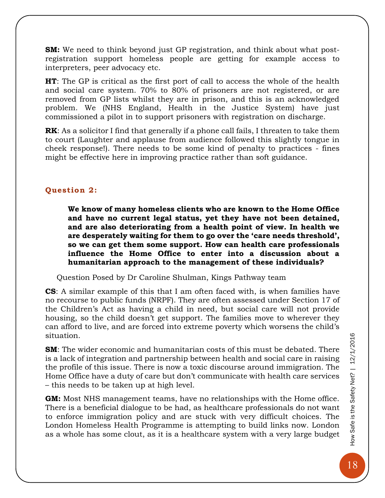**SM:** We need to think beyond just GP registration, and think about what postregistration support homeless people are getting for example access to interpreters, peer advocacy etc.

**HT**: The GP is critical as the first port of call to access the whole of the health and social care system. 70% to 80% of prisoners are not registered, or are removed from GP lists whilst they are in prison, and this is an acknowledged problem. We (NHS England, Health in the Justice System) have just commissioned a pilot in to support prisoners with registration on discharge.

**RK**: As a solicitor I find that generally if a phone call fails, I threaten to take them to court (Laughter and applause from audience followed this slightly tongue in cheek response!). There needs to be some kind of penalty to practices - fines might be effective here in improving practice rather than soft guidance.

#### <span id="page-18-0"></span>**Question 2:**

**We know of many homeless clients who are known to the Home Office and have no current legal status, yet they have not been detained, and are also deteriorating from a health point of view. In health we are desperately waiting for them to go over the 'care needs threshold', so we can get them some support. How can health care professionals influence the Home Office to enter into a discussion about a humanitarian approach to the management of these individuals?** 

Question Posed by Dr Caroline Shulman, Kings Pathway team

**CS**: A similar example of this that I am often faced with, is when families have no recourse to public funds (NRPF). They are often assessed under Section 17 of the Children's Act as having a child in need, but social care will not provide housing, so the child doesn't get support. The families move to wherever they can afford to live, and are forced into extreme poverty which worsens the child's situation.

**SM**: The wider economic and humanitarian costs of this must be debated. There is a lack of integration and partnership between health and social care in raising the profile of this issue. There is now a toxic discourse around immigration. The Home Office have a duty of care but don't communicate with health care services – this needs to be taken up at high level.

**GM:** Most NHS management teams, have no relationships with the Home office. There is a beneficial dialogue to be had, as healthcare professionals do not want to enforce immigration policy and are stuck with very difficult choices. The London Homeless Health Programme is attempting to build links now. London as a whole has some clout, as it is a healthcare system with a very large budget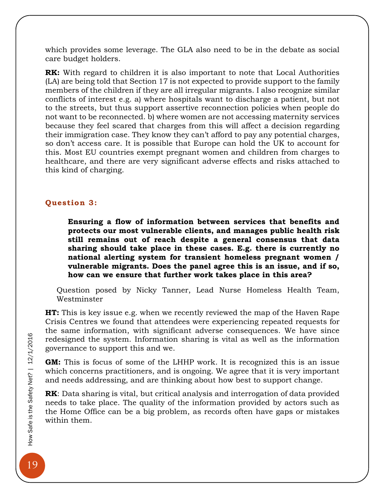which provides some leverage. The GLA also need to be in the debate as social care budget holders.

**RK:** With regard to children it is also important to note that Local Authorities (LA) are being told that Section 17 is not expected to provide support to the family members of the children if they are all irregular migrants. I also recognize similar conflicts of interest e.g. a) where hospitals want to discharge a patient, but not to the streets, but thus support assertive reconnection policies when people do not want to be reconnected. b) where women are not accessing maternity services because they feel scared that charges from this will affect a decision regarding their immigration case. They know they can't afford to pay any potential charges, so don't access care. It is possible that Europe can hold the UK to account for this. Most EU countries exempt pregnant women and children from charges to healthcare, and there are very significant adverse effects and risks attached to this kind of charging.

#### <span id="page-19-0"></span>**Question 3:**

**Ensuring a flow of information between services that benefits and protects our most vulnerable clients, and manages public health risk still remains out of reach despite a general consensus that data sharing should take place in these cases. E.g. there is currently no national alerting system for transient homeless pregnant women / vulnerable migrants. Does the panel agree this is an issue, and if so, how can we ensure that further work takes place in this area?**

Question posed by Nicky Tanner, Lead Nurse Homeless Health Team, Westminster

**HT:** This is key issue e.g. when we recently reviewed the map of the Haven Rape Crisis Centres we found that attendees were experiencing repeated requests for the same information, with significant adverse consequences. We have since redesigned the system. Information sharing is vital as well as the information governance to support this and we.

**GM:** This is focus of some of the LHHP work. It is recognized this is an issue which concerns practitioners, and is ongoing. We agree that it is very important and needs addressing, and are thinking about how best to support change.

**RK**: Data sharing is vital, but critical analysis and interrogation of data provided needs to take place. The quality of the information provided by actors such as the Home Office can be a big problem, as records often have gaps or mistakes within them.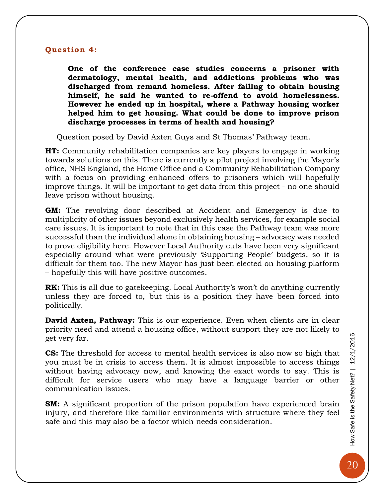#### <span id="page-20-0"></span>**Question 4:**

**One of the conference case studies concerns a prisoner with dermatology, mental health, and addictions problems who was discharged from remand homeless. After failing to obtain housing himself, he said he wanted to re-offend to avoid homelessness. However he ended up in hospital, where a Pathway housing worker helped him to get housing. What could be done to improve prison discharge processes in terms of health and housing?**

Question posed by David Axten Guys and St Thomas' Pathway team.

**HT:** Community rehabilitation companies are key players to engage in working towards solutions on this. There is currently a pilot project involving the Mayor's office, NHS England, the Home Office and a Community Rehabilitation Company with a focus on providing enhanced offers to prisoners which will hopefully improve things. It will be important to get data from this project - no one should leave prison without housing.

**GM:** The revolving door described at Accident and Emergency is due to multiplicity of other issues beyond exclusively health services, for example social care issues. It is important to note that in this case the Pathway team was more successful than the individual alone in obtaining housing – advocacy was needed to prove eligibility here. However Local Authority cuts have been very significant especially around what were previously 'Supporting People' budgets, so it is difficult for them too. The new Mayor has just been elected on housing platform – hopefully this will have positive outcomes.

**RK:** This is all due to gatekeeping. Local Authority's won't do anything currently unless they are forced to, but this is a position they have been forced into politically.

**David Axten, Pathway:** This is our experience. Even when clients are in clear priority need and attend a housing office, without support they are not likely to get very far.

**CS:** The threshold for access to mental health services is also now so high that you must be in crisis to access them. It is almost impossible to access things without having advocacy now, and knowing the exact words to say. This is difficult for service users who may have a language barrier or other communication issues.

**SM:** A significant proportion of the prison population have experienced brain injury, and therefore like familiar environments with structure where they feel safe and this may also be a factor which needs consideration.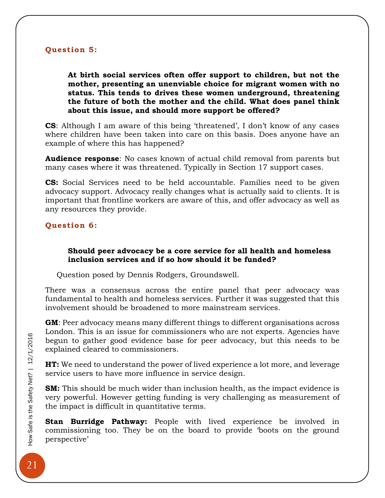#### <span id="page-21-0"></span>**Question 5:**

**At birth social services often offer support to children, but not the mother, presenting an unenviable choice for migrant women with no status. This tends to drives these women underground, threatening the future of both the mother and the child. What does panel think about this issue, and should more support be offered?** 

**CS**: Although I am aware of this being 'threatened', I don't know of any cases where children have been taken into care on this basis. Does anyone have an example of where this has happened?

**Audience response**: No cases known of actual child removal from parents but many cases where it was threatened. Typically in Section 17 support cases.

**CS:** Social Services need to be held accountable. Families need to be given advocacy support. Advocacy really changes what is actually said to clients. It is important that frontline workers are aware of this, and offer advocacy as well as any resources they provide.

#### <span id="page-21-1"></span>**Question 6:**

#### **Should peer advocacy be a core service for all health and homeless inclusion services and if so how should it be funded?**

Question posed by Dennis Rodgers, Groundswell.

There was a consensus across the entire panel that peer advocacy was fundamental to health and homeless services. Further it was suggested that this involvement should be broadened to more mainstream services.

**GM**: Peer advocacy means many different things to different organisations across London. This is an issue for commissioners who are not experts. Agencies have begun to gather good evidence base for peer advocacy, but this needs to be explained cleared to commissioners.

**HT:** We need to understand the power of lived experience a lot more, and leverage service users to have more influence in service design.

**SM:** This should be much wider than inclusion health, as the impact evidence is very powerful. However getting funding is very challenging as measurement of the impact is difficult in quantitative terms.

**Stan Burridge Pathway:** People with lived experience be involved in commissioning too. They be on the board to provide 'boots on the ground perspective'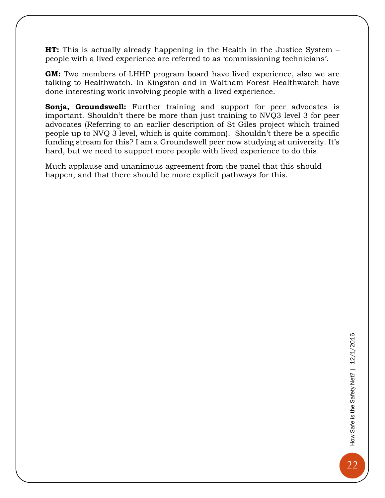**HT:** This is actually already happening in the Health in the Justice System – people with a lived experience are referred to as 'commissioning technicians'.

**GM:** Two members of LHHP program board have lived experience, also we are talking to Healthwatch. In Kingston and in Waltham Forest Healthwatch have done interesting work involving people with a lived experience.

**Sonja, Groundswell:** Further training and support for peer advocates is important. Shouldn't there be more than just training to NVQ3 level 3 for peer advocates (Referring to an earlier description of St Giles project which trained people up to NVQ 3 level, which is quite common). Shouldn't there be a specific funding stream for this? I am a Groundswell peer now studying at university. It's hard, but we need to support more people with lived experience to do this.

Much applause and unanimous agreement from the panel that this should happen, and that there should be more explicit pathways for this.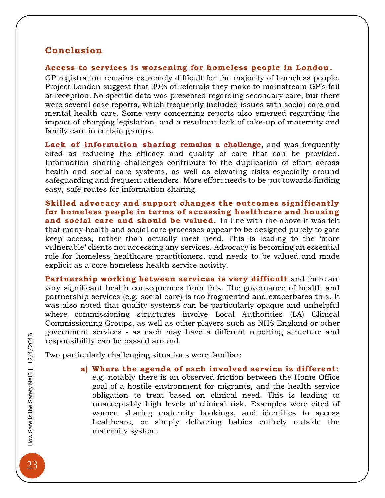#### <span id="page-23-0"></span>**Conclusion**

#### <span id="page-23-1"></span>Access to services is worsening for homeless people in London.

GP registration remains extremely difficult for the majority of homeless people. Project London suggest that 39% of referrals they make to mainstream GP's fail at reception*.* No specific data was presented regarding secondary care, but there were several case reports, which frequently included issues with social care and mental health care. Some very concerning reports also emerged regarding the impact of charging legislation, and a resultant lack of take-up of maternity and family care in certain groups.

<span id="page-23-2"></span>**Lack of information sharing remains a challenge**, and was frequently cited as reducing the efficacy and quality of care that can be provided. Information sharing challenges contribute to the duplication of effort across health and social care systems, as well as elevating risks especially around safeguarding and frequent attenders. More effort needs to be put towards finding easy, safe routes for information sharing.

<span id="page-23-3"></span>**Skilled advocacy and support changes the outcomes significantly for home less people in terms of accessing healthcare and housing**  and social care and should be valued. In line with the above it was felt that many health and social care processes appear to be designed purely to gate keep access, rather than actually meet need. This is leading to the 'more vulnerable' clients not accessing any services. Advocacy is becoming an essential role for homeless healthcare practitioners, and needs to be valued and made explicit as a core homeless health service activity.

<span id="page-23-4"></span>**Partnership working between services is very difficult** and there are very significant health consequences from this. The governance of health and partnership services (e.g. social care) is too fragmented and exacerbates this. It was also noted that quality systems can be particularly opaque and unhelpful where commissioning structures involve Local Authorities (LA) Clinical Commissioning Groups, as well as other players such as NHS England or other government services - as each may have a different reporting structure and responsibility can be passed around.

<span id="page-23-5"></span>Two particularly challenging situations were familiar:

**a) Where the agenda of each involved service is different:** e.g. notably there is an observed friction between the Home Office goal of a hostile environment for migrants, and the health service obligation to treat based on clinical need. This is leading to unacceptably high levels of clinical risk. Examples were cited of women sharing maternity bookings, and identities to access healthcare, or simply delivering babies entirely outside the maternity system.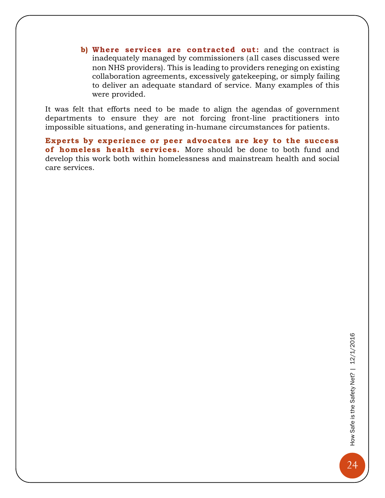<span id="page-24-0"></span>**b) Where services are contracted out:** and the contract is inadequately managed by commissioners (all cases discussed were non NHS providers). This is leading to providers reneging on existing collaboration agreements, excessively gatekeeping, or simply failing to deliver an adequate standard of service. Many examples of this were provided.

It was felt that efforts need to be made to align the agendas of government departments to ensure they are not forcing front-line practitioners into impossible situations, and generating in-humane circumstances for patients.

<span id="page-24-1"></span>**Experts by experience or peer advocates are key to the success**  of homeless health services. More should be done to both fund and develop this work both within homelessness and mainstream health and social care services.

24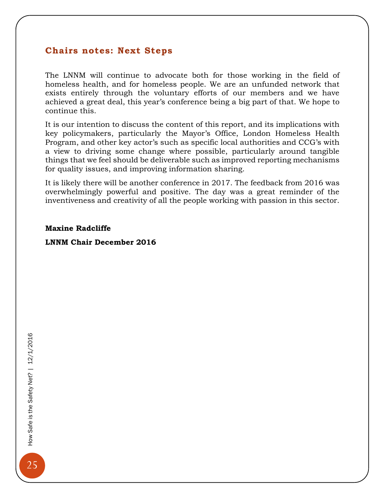#### <span id="page-25-0"></span>**Chairs notes: Next Steps**

The LNNM will continue to advocate both for those working in the field of homeless health, and for homeless people. We are an unfunded network that exists entirely through the voluntary efforts of our members and we have achieved a great deal, this year's conference being a big part of that. We hope to continue this.

It is our intention to discuss the content of this report, and its implications with key policymakers, particularly the Mayor's Office, London Homeless Health Program, and other key actor's such as specific local authorities and CCG's with a view to driving some change where possible, particularly around tangible things that we feel should be deliverable such as improved reporting mechanisms for quality issues, and improving information sharing.

It is likely there will be another conference in 2017. The feedback from 2016 was overwhelmingly powerful and positive. The day was a great reminder of the inventiveness and creativity of all the people working with passion in this sector.

#### **Maxine Radcliffe**

#### **LNNM Chair December 2016**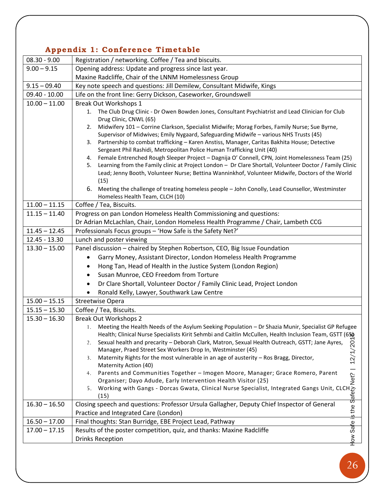#### <span id="page-26-0"></span>**Appendix 1: Conference Timetable**

|                 | $\mu$ ppendia 1. conference filmedupi                                                                                                                                                                                                                                                         |  |
|-----------------|-----------------------------------------------------------------------------------------------------------------------------------------------------------------------------------------------------------------------------------------------------------------------------------------------|--|
| $08.30 - 9.00$  | Registration / networking. Coffee / Tea and biscuits.                                                                                                                                                                                                                                         |  |
| $9.00 - 9.15$   | Opening address: Update and progress since last year.                                                                                                                                                                                                                                         |  |
|                 | Maxine Radcliffe, Chair of the LNNM Homelessness Group                                                                                                                                                                                                                                        |  |
| $9.15 - 09.40$  | Key note speech and questions: Jill Demilew, Consultant Midwife, Kings                                                                                                                                                                                                                        |  |
| $09.40 - 10.00$ | Life on the front line: Gerry Dickson, Caseworker, Groundswell                                                                                                                                                                                                                                |  |
| $10.00 - 11.00$ | Break Out Workshops 1                                                                                                                                                                                                                                                                         |  |
|                 | 1. The Club Drug Clinic - Dr Owen Bowden Jones, Consultant Psychiatrist and Lead Clinician for Club                                                                                                                                                                                           |  |
|                 | Drug Clinic, CNWL (65)                                                                                                                                                                                                                                                                        |  |
|                 | Midwifery 101 - Corrine Clarkson, Specialist Midwife; Morag Forbes, Family Nurse; Sue Byrne,<br>2.                                                                                                                                                                                            |  |
|                 | Supervisor of Midwives; Emily Nygaard, Safeguarding Midwife - various NHS Trusts (45)                                                                                                                                                                                                         |  |
|                 | 3. Partnership to combat trafficking - Karen Anstiss, Manager, Caritas Bakhita House; Detective                                                                                                                                                                                               |  |
|                 | Sergeant Phil Rashidi, Metropolitan Police Human Trafficking Unit (40)                                                                                                                                                                                                                        |  |
|                 | Female Entrenched Rough Sleeper Project - Dagnija O' Connell, CPN, Joint Homelessness Team (25)<br>4.<br>Learning from the Family clinic at Project London - Dr Clare Shortall, Volunteer Doctor / Family Clinic<br>5.                                                                        |  |
|                 | Lead; Jenny Booth, Volunteer Nurse; Bettina Wanninkhof, Volunteer Midwife, Doctors of the World                                                                                                                                                                                               |  |
|                 | (15)                                                                                                                                                                                                                                                                                          |  |
|                 | 6. Meeting the challenge of treating homeless people - John Conolly, Lead Counsellor, Westminster                                                                                                                                                                                             |  |
|                 | Homeless Health Team, CLCH (10)                                                                                                                                                                                                                                                               |  |
| $11.00 - 11.15$ | Coffee / Tea, Biscuits.                                                                                                                                                                                                                                                                       |  |
| $11.15 - 11.40$ | Progress on pan London Homeless Health Commissioning and questions:                                                                                                                                                                                                                           |  |
|                 | Dr Adrian McLachlan, Chair, London Homeless Health Programme / Chair, Lambeth CCG                                                                                                                                                                                                             |  |
| $11.45 - 12.45$ | Professionals Focus groups - 'How Safe is the Safety Net?'                                                                                                                                                                                                                                    |  |
| 12.45 - 13.30   | Lunch and poster viewing                                                                                                                                                                                                                                                                      |  |
| $13.30 - 15.00$ | Panel discussion - chaired by Stephen Robertson, CEO, Big Issue Foundation                                                                                                                                                                                                                    |  |
|                 | Garry Money, Assistant Director, London Homeless Health Programme                                                                                                                                                                                                                             |  |
|                 | Hong Tan, Head of Health in the Justice System (London Region)                                                                                                                                                                                                                                |  |
|                 | Susan Munroe, CEO Freedom from Torture                                                                                                                                                                                                                                                        |  |
|                 | Dr Clare Shortall, Volunteer Doctor / Family Clinic Lead, Project London                                                                                                                                                                                                                      |  |
|                 | Ronald Kelly, Lawyer, Southwark Law Centre                                                                                                                                                                                                                                                    |  |
| $15.00 - 15.15$ | <b>Streetwise Opera</b>                                                                                                                                                                                                                                                                       |  |
| $15.15 - 15.30$ | Coffee / Tea, Biscuits.                                                                                                                                                                                                                                                                       |  |
| $15.30 - 16.30$ | <b>Break Out Workshops 2</b>                                                                                                                                                                                                                                                                  |  |
|                 | 1. Meeting the Health Needs of the Asylum Seeking Population - Dr Shazia Munir, Specialist GP Refugee                                                                                                                                                                                         |  |
|                 |                                                                                                                                                                                                                                                                                               |  |
|                 |                                                                                                                                                                                                                                                                                               |  |
|                 |                                                                                                                                                                                                                                                                                               |  |
|                 |                                                                                                                                                                                                                                                                                               |  |
|                 |                                                                                                                                                                                                                                                                                               |  |
|                 |                                                                                                                                                                                                                                                                                               |  |
|                 |                                                                                                                                                                                                                                                                                               |  |
|                 |                                                                                                                                                                                                                                                                                               |  |
| $16.30 - 16.50$ | Closing speech and questions: Professor Ursula Gallagher, Deputy Chief Inspector of General                                                                                                                                                                                                   |  |
|                 | Practice and Integrated Care (London)                                                                                                                                                                                                                                                         |  |
| $16.50 - 17.00$ | 1. Meeting the Health Needs of the Asylum Seeking Population – Dr Shazia Munir, Specialist GP Refugee<br>Health, Clinical Nurse Specialists Kirit Sehmbi and Caitlin McCullen, Health Inclusion Team, GSTT (6%)<br>2. Sexual heal<br>Final thoughts: Stan Burridge, EBE Project Lead, Pathway |  |
| $17.00 - 17.15$ | Results of the poster competition, quiz, and thanks: Maxine Radcliffe                                                                                                                                                                                                                         |  |
|                 | <b>Drinks Reception</b>                                                                                                                                                                                                                                                                       |  |
|                 |                                                                                                                                                                                                                                                                                               |  |
|                 |                                                                                                                                                                                                                                                                                               |  |
|                 | 26                                                                                                                                                                                                                                                                                            |  |
|                 |                                                                                                                                                                                                                                                                                               |  |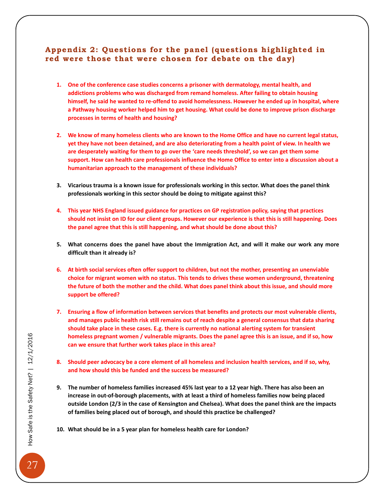#### <span id="page-27-0"></span>Appendix 2: Questions for the panel (questions highlighted in **red were those that were chosen for debate on the day)**

- **1. One of the conference case studies concerns a prisoner with dermatology, mental health, and addictions problems who was discharged from remand homeless. After failing to obtain housing himself, he said he wanted to re-offend to avoid homelessness. However he ended up in hospital, where a Pathway housing worker helped him to get housing. What could be done to improve prison discharge processes in terms of health and housing?**
- **2. We know of many homeless clients who are known to the Home Office and have no current legal status, yet they have not been detained, and are also deteriorating from a health point of view. In health we are desperately waiting for them to go over the 'care needs threshold', so we can get them some support. How can health care professionals influence the Home Office to enter into a discussion about a humanitarian approach to the management of these individuals?**
- **3. Vicarious trauma is a known issue for professionals working in this sector. What does the panel think professionals working in this sector should be doing to mitigate against this?**
- **4. This year NHS England issued guidance for practices on GP registration policy, saying that practices should not insist on ID for our client groups. However our experience is that this is still happening. Does the panel agree that this is still happening, and what should be done about this?**
- **5. What concerns does the panel have about the Immigration Act, and will it make our work any more difficult than it already is?**
- **6. At birth social services often offer support to children, but not the mother, presenting an unenviable choice for migrant women with no status. This tends to drives these women underground, threatening the future of both the mother and the child. What does panel think about this issue, and should more support be offered?**
- **7. Ensuring a flow of information between services that benefits and protects our most vulnerable clients, and manages public health risk still remains out of reach despite a general consensus that data sharing should take place in these cases. E.g. there is currently no national alerting system for transient homeless pregnant women / vulnerable migrants. Does the panel agree this is an issue, and if so, how can we ensure that further work takes place in this area?**
- **8. Should peer advocacy be a core element of all homeless and inclusion health services, and if so, why, and how should this be funded and the success be measured?**
- **9. The number of homeless families increased 45% last year to a 12 year high. There has also been an increase in out-of-borough placements, with at least a third of homeless families now being placed outside London (2/3 in the case of Kensington and Chelsea). What does the panel think are the impacts of families being placed out of borough, and should this practice be challenged?**
- **10. What should be in a 5 year plan for homeless health care for London?**